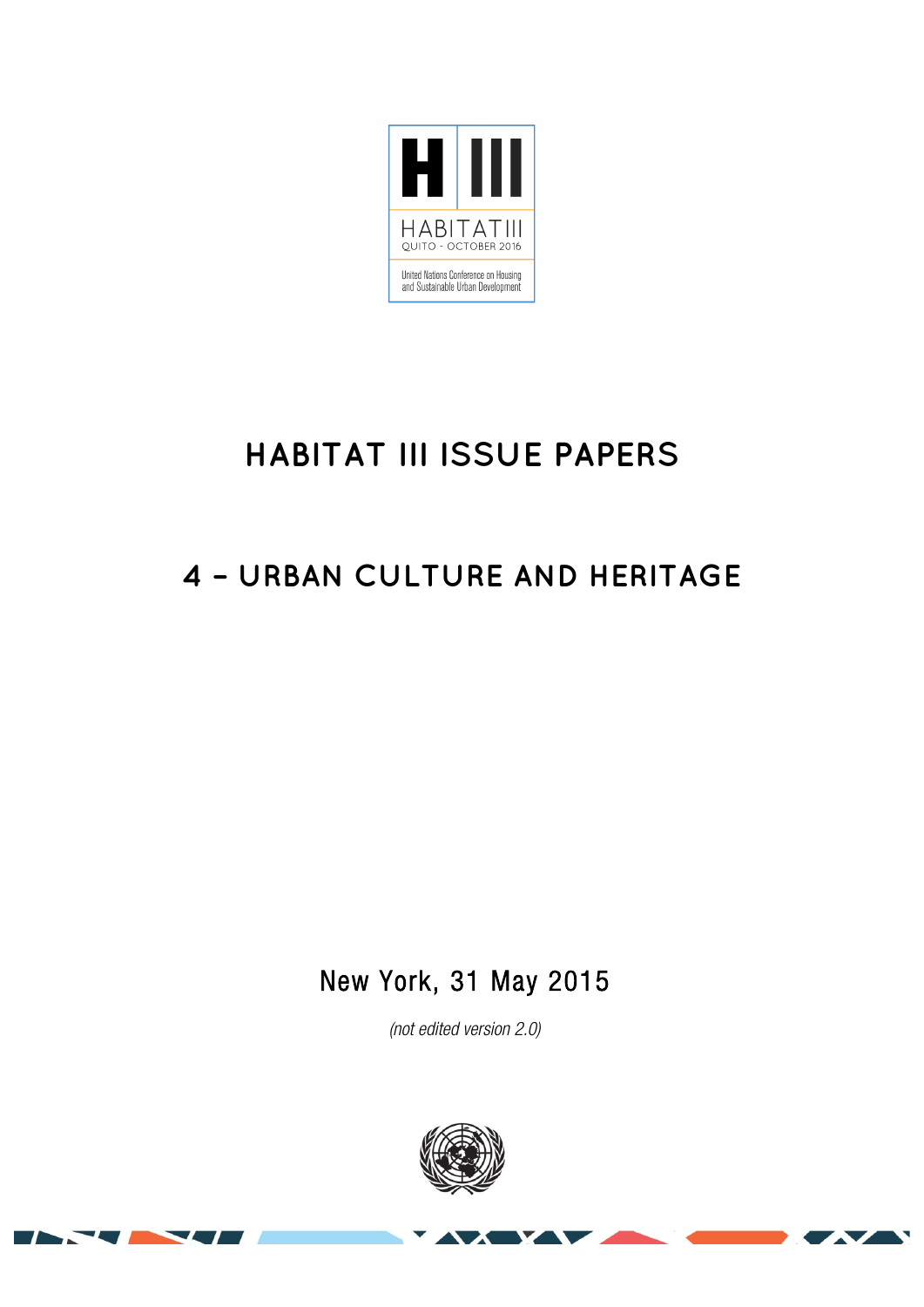

# **HABITAT III ISSUE PAPERS**

## **4 – URBAN CULTURE AND HERITAGE**

New York, 31 May 2015

*(not edited version* 2.0*)* 



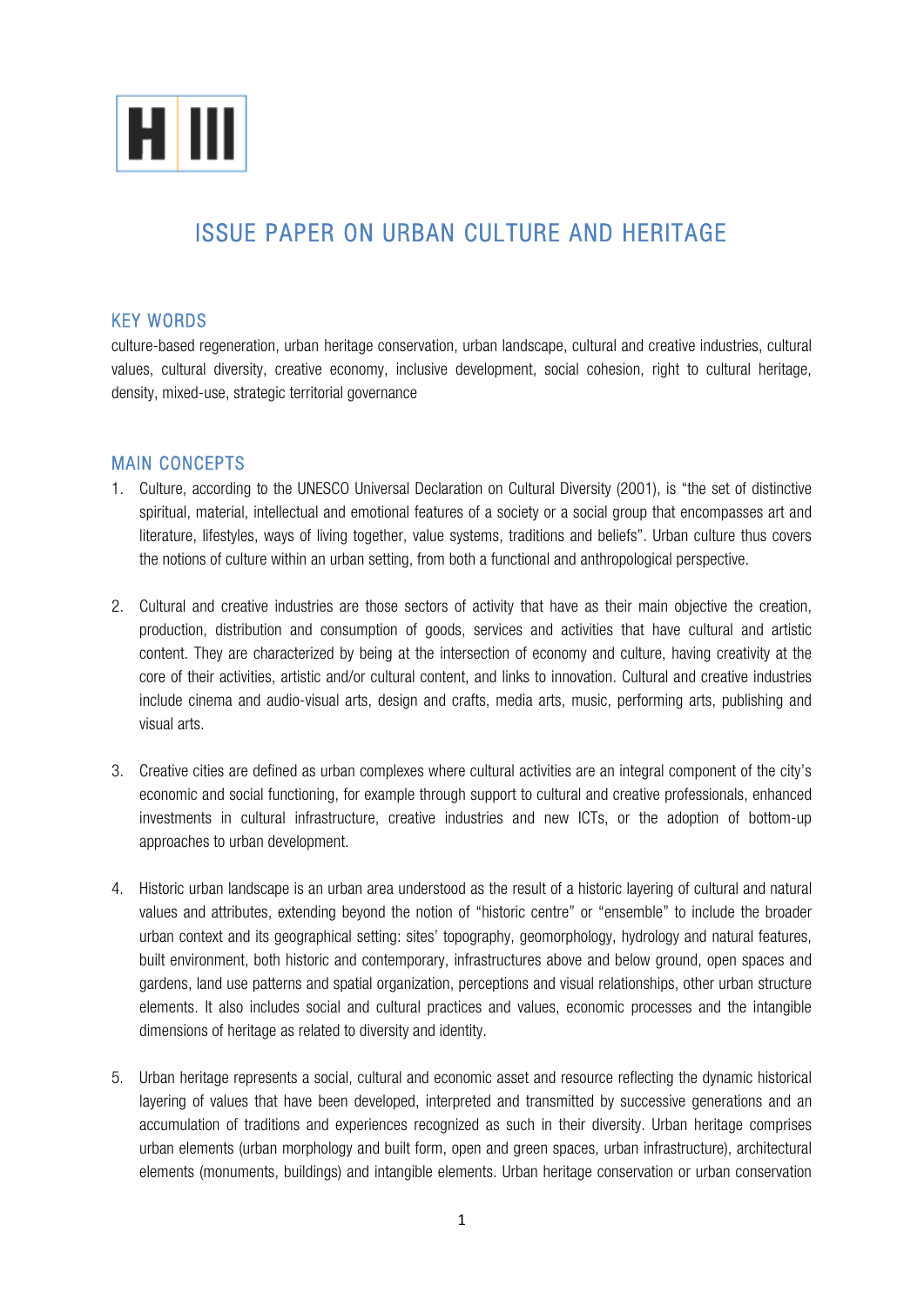

### ISSUE PAPER ON URBAN CULTURE AND HERITAGE

#### KEY WORDS

culture-based regeneration, urban heritage conservation, urban landscape, cultural and creative industries, cultural values, cultural diversity, creative economy, inclusive development, social cohesion, right to cultural heritage, density, mixed-use, strategic territorial governance

#### MAIN CONCEPTS

- 1. Culture, according to the UNESCO Universal Declaration on Cultural Diversity (2001), is "the set of distinctive spiritual, material, intellectual and emotional features of a society or a social group that encompasses art and literature, lifestyles, ways of living together, value systems, traditions and beliefs". Urban culture thus covers the notions of culture within an urban setting, from both a functional and anthropological perspective.
- 2. Cultural and creative industries are those sectors of activity that have as their main objective the creation, production, distribution and consumption of goods, services and activities that have cultural and artistic content. They are characterized by being at the intersection of economy and culture, having creativity at the core of their activities, artistic and/or cultural content, and links to innovation. Cultural and creative industries include cinema and audio-visual arts, design and crafts, media arts, music, performing arts, publishing and visual arts.
- 3. Creative cities are defined as urban complexes where cultural activities are an integral component of the city's economic and social functioning, for example through support to cultural and creative professionals, enhanced investments in cultural infrastructure, creative industries and new ICTs, or the adoption of bottom-up approaches to urban development.
- 4. Historic urban landscape is an urban area understood as the result of a historic layering of cultural and natural values and attributes, extending beyond the notion of "historic centre" or "ensemble" to include the broader urban context and its geographical setting: sites' topography, geomorphology, hydrology and natural features, built environment, both historic and contemporary, infrastructures above and below ground, open spaces and gardens, land use patterns and spatial organization, perceptions and visual relationships, other urban structure elements. It also includes social and cultural practices and values, economic processes and the intangible dimensions of heritage as related to diversity and identity.
- 5. Urban heritage represents a social, cultural and economic asset and resource reflecting the dynamic historical layering of values that have been developed, interpreted and transmitted by successive generations and an accumulation of traditions and experiences recognized as such in their diversity. Urban heritage comprises urban elements (urban morphology and built form, open and green spaces, urban infrastructure), architectural elements (monuments, buildings) and intangible elements. Urban heritage conservation or urban conservation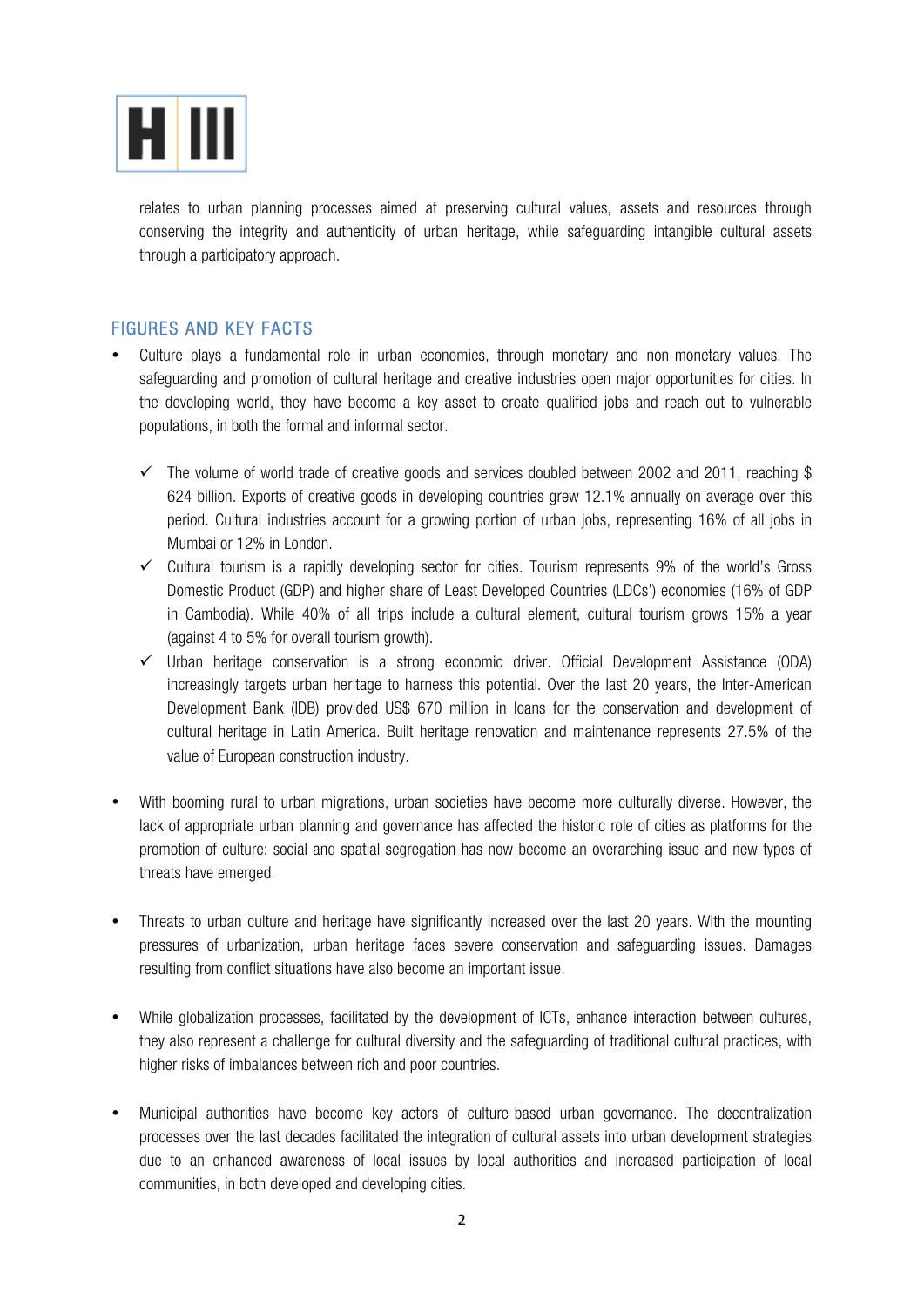

relates to urban planning processes aimed at preserving cultural values, assets and resources through conserving the integrity and authenticity of urban heritage, while safeguarding intangible cultural assets through a participatory approach.

#### FIGURES AND KEY FACTS

- Culture plays a fundamental role in urban economies, through monetary and non-monetary values. The safeguarding and promotion of cultural heritage and creative industries open major opportunities for cities. In the developing world, they have become a key asset to create qualified jobs and reach out to vulnerable populations, in both the formal and informal sector.
	- $\checkmark$  The volume of world trade of creative goods and services doubled between 2002 and 2011, reaching \$ 624 billion. Exports of creative goods in developing countries grew 12.1% annually on average over this period. Cultural industries account for a growing portion of urban jobs, representing 16% of all jobs in Mumbai or 12% in London.
	- $\checkmark$  Cultural tourism is a rapidly developing sector for cities. Tourism represents 9% of the world's Gross Domestic Product (GDP) and higher share of Least Developed Countries (LDCs') economies (16% of GDP in Cambodia). While 40% of all trips include a cultural element, cultural tourism grows 15% a year (against 4 to 5% for overall tourism growth).
	- $\checkmark$  Urban heritage conservation is a strong economic driver. Official Development Assistance (ODA) increasingly targets urban heritage to harness this potential. Over the last 20 years, the Inter-American Development Bank (IDB) provided US\$ 670 million in loans for the conservation and development of cultural heritage in Latin America. Built heritage renovation and maintenance represents 27.5% of the value of European construction industry.
- With booming rural to urban migrations, urban societies have become more culturally diverse. However, the lack of appropriate urban planning and governance has affected the historic role of cities as platforms for the promotion of culture: social and spatial segregation has now become an overarching issue and new types of threats have emerged.
- Threats to urban culture and heritage have significantly increased over the last 20 years. With the mounting pressures of urbanization, urban heritage faces severe conservation and safeguarding issues. Damages resulting from conflict situations have also become an important issue.
- While globalization processes, facilitated by the development of ICTs, enhance interaction between cultures, they also represent a challenge for cultural diversity and the safeguarding of traditional cultural practices, with higher risks of imbalances between rich and poor countries.
- Municipal authorities have become key actors of culture-based urban governance. The decentralization processes over the last decades facilitated the integration of cultural assets into urban development strategies due to an enhanced awareness of local issues by local authorities and increased participation of local communities, in both developed and developing cities.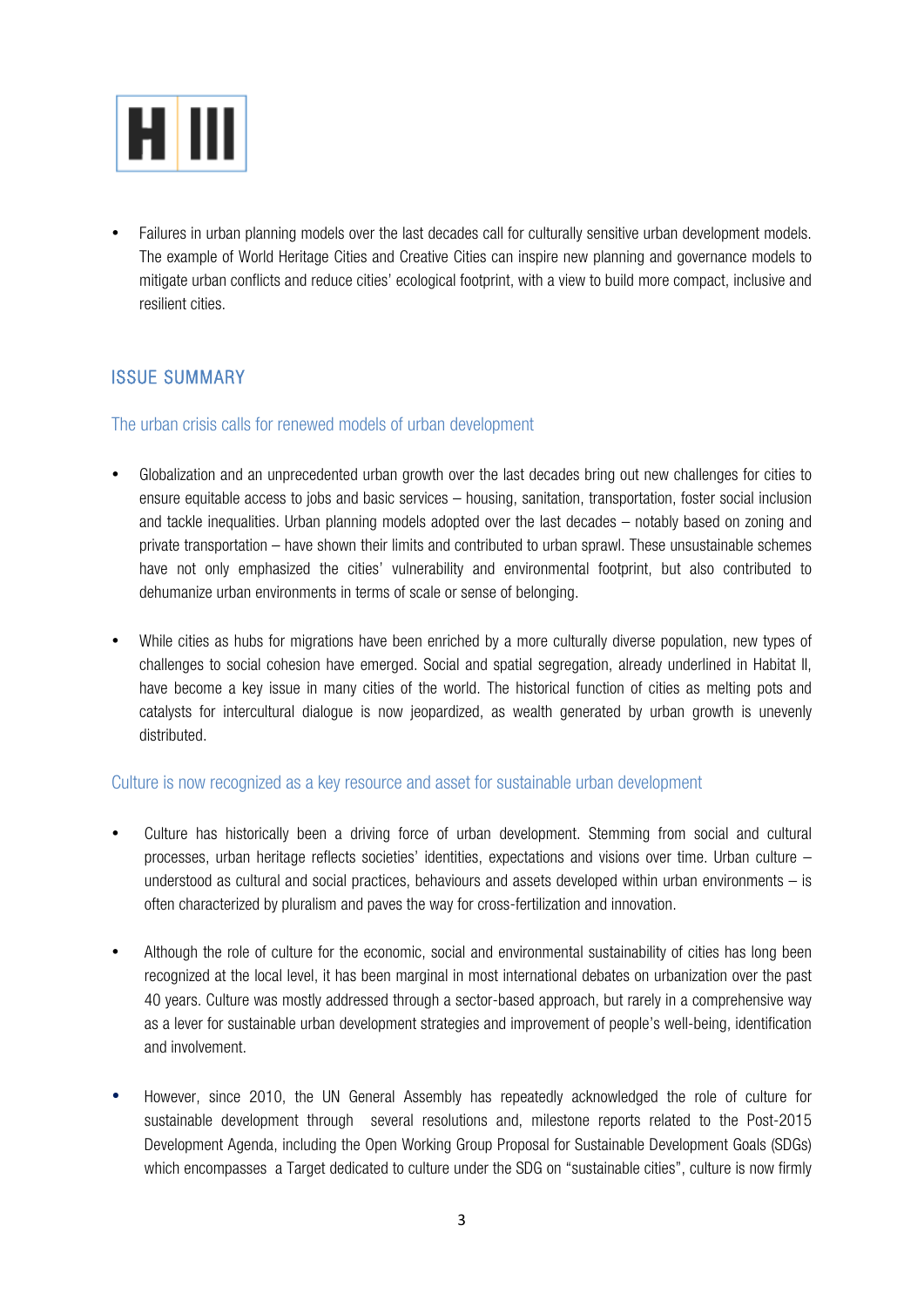

• Failures in urban planning models over the last decades call for culturally sensitive urban development models. The example of World Heritage Cities and Creative Cities can inspire new planning and governance models to mitigate urban conflicts and reduce cities' ecological footprint, with a view to build more compact, inclusive and resilient cities.

#### ISSUE SUMMARY

#### The urban crisis calls for renewed models of urban development

- Globalization and an unprecedented urban growth over the last decades bring out new challenges for cities to ensure equitable access to jobs and basic services – housing, sanitation, transportation, foster social inclusion and tackle inequalities. Urban planning models adopted over the last decades – notably based on zoning and private transportation – have shown their limits and contributed to urban sprawl. These unsustainable schemes have not only emphasized the cities' vulnerability and environmental footprint, but also contributed to dehumanize urban environments in terms of scale or sense of belonging.
- While cities as hubs for migrations have been enriched by a more culturally diverse population, new types of challenges to social cohesion have emerged. Social and spatial segregation, already underlined in Habitat II, have become a key issue in many cities of the world. The historical function of cities as melting pots and catalysts for intercultural dialogue is now jeopardized, as wealth generated by urban growth is unevenly distributed.

#### Culture is now recognized as a key resource and asset for sustainable urban development

- Culture has historically been a driving force of urban development. Stemming from social and cultural processes, urban heritage reflects societies' identities, expectations and visions over time. Urban culture – understood as cultural and social practices, behaviours and assets developed within urban environments – is often characterized by pluralism and paves the way for cross-fertilization and innovation.
- Although the role of culture for the economic, social and environmental sustainability of cities has long been recognized at the local level, it has been marginal in most international debates on urbanization over the past 40 years. Culture was mostly addressed through a sector-based approach, but rarely in a comprehensive way as a lever for sustainable urban development strategies and improvement of people's well-being, identification and involvement.
- However, since 2010, the UN General Assembly has repeatedly acknowledged the role of culture for sustainable development through several resolutions and, milestone reports related to the Post-2015 Development Agenda, including the Open Working Group Proposal for Sustainable Development Goals (SDGs) which encompasses a Target dedicated to culture under the SDG on "sustainable cities", culture is now firmly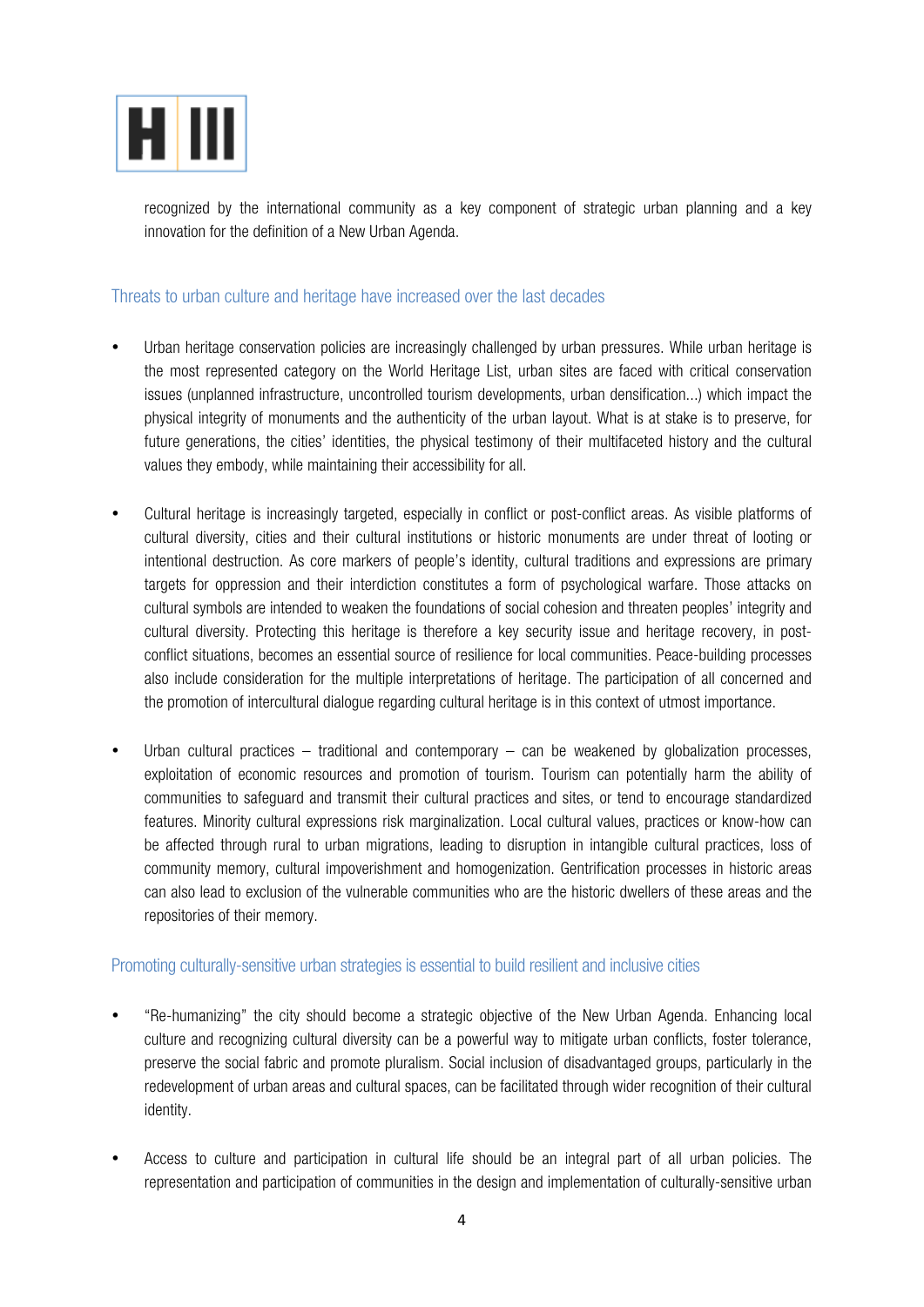

recognized by the international community as a key component of strategic urban planning and a key innovation for the definition of a New Urban Agenda.

#### Threats to urban culture and heritage have increased over the last decades

- Urban heritage conservation policies are increasingly challenged by urban pressures. While urban heritage is the most represented category on the World Heritage List, urban sites are faced with critical conservation issues (unplanned infrastructure, uncontrolled tourism developments, urban densification...) which impact the physical integrity of monuments and the authenticity of the urban layout. What is at stake is to preserve, for future generations, the cities' identities, the physical testimony of their multifaceted history and the cultural values they embody, while maintaining their accessibility for all.
- Cultural heritage is increasingly targeted, especially in conflict or post-conflict areas. As visible platforms of cultural diversity, cities and their cultural institutions or historic monuments are under threat of looting or intentional destruction. As core markers of people's identity, cultural traditions and expressions are primary targets for oppression and their interdiction constitutes a form of psychological warfare. Those attacks on cultural symbols are intended to weaken the foundations of social cohesion and threaten peoples' integrity and cultural diversity. Protecting this heritage is therefore a key security issue and heritage recovery, in postconflict situations, becomes an essential source of resilience for local communities. Peace-building processes also include consideration for the multiple interpretations of heritage. The participation of all concerned and the promotion of intercultural dialogue regarding cultural heritage is in this context of utmost importance.
- Urban cultural practices traditional and contemporary can be weakened by globalization processes, exploitation of economic resources and promotion of tourism. Tourism can potentially harm the ability of communities to safeguard and transmit their cultural practices and sites, or tend to encourage standardized features. Minority cultural expressions risk marginalization. Local cultural values, practices or know-how can be affected through rural to urban migrations, leading to disruption in intangible cultural practices, loss of community memory, cultural impoverishment and homogenization. Gentrification processes in historic areas can also lead to exclusion of the vulnerable communities who are the historic dwellers of these areas and the repositories of their memory.

#### Promoting culturally-sensitive urban strategies is essential to build resilient and inclusive cities

- "Re-humanizing" the city should become a strategic objective of the New Urban Agenda. Enhancing local culture and recognizing cultural diversity can be a powerful way to mitigate urban conflicts, foster tolerance, preserve the social fabric and promote pluralism. Social inclusion of disadvantaged groups, particularly in the redevelopment of urban areas and cultural spaces, can be facilitated through wider recognition of their cultural identity.
- Access to culture and participation in cultural life should be an integral part of all urban policies. The representation and participation of communities in the design and implementation of culturally-sensitive urban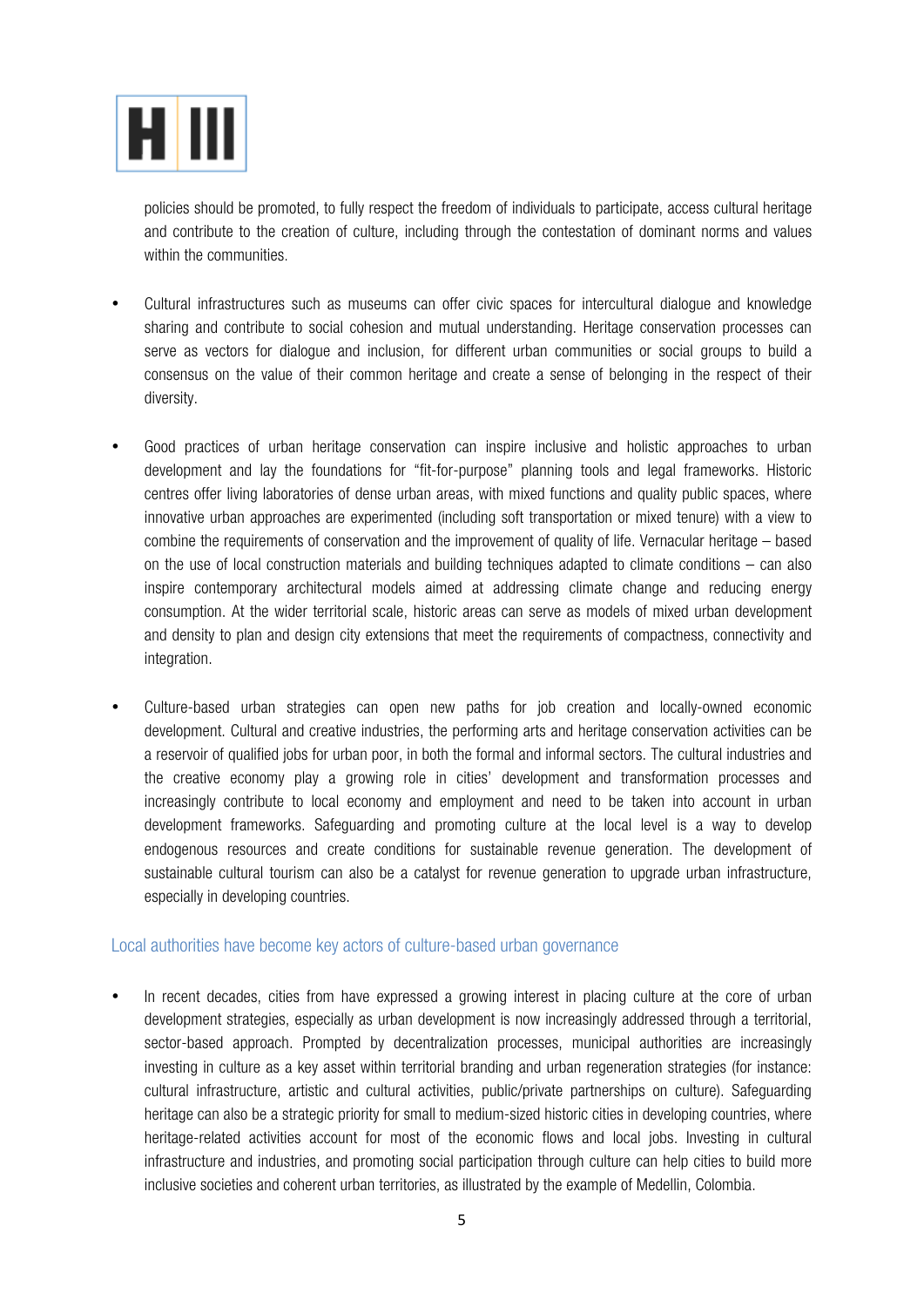

policies should be promoted, to fully respect the freedom of individuals to participate, access cultural heritage and contribute to the creation of culture, including through the contestation of dominant norms and values within the communities.

- Cultural infrastructures such as museums can offer civic spaces for intercultural dialogue and knowledge sharing and contribute to social cohesion and mutual understanding. Heritage conservation processes can serve as vectors for dialogue and inclusion, for different urban communities or social groups to build a consensus on the value of their common heritage and create a sense of belonging in the respect of their diversity.
- Good practices of urban heritage conservation can inspire inclusive and holistic approaches to urban development and lay the foundations for "fit-for-purpose" planning tools and legal frameworks. Historic centres offer living laboratories of dense urban areas, with mixed functions and quality public spaces, where innovative urban approaches are experimented (including soft transportation or mixed tenure) with a view to combine the requirements of conservation and the improvement of quality of life. Vernacular heritage – based on the use of local construction materials and building techniques adapted to climate conditions – can also inspire contemporary architectural models aimed at addressing climate change and reducing energy consumption. At the wider territorial scale, historic areas can serve as models of mixed urban development and density to plan and design city extensions that meet the requirements of compactness, connectivity and integration.
- Culture-based urban strategies can open new paths for job creation and locally-owned economic development. Cultural and creative industries, the performing arts and heritage conservation activities can be a reservoir of qualified jobs for urban poor, in both the formal and informal sectors. The cultural industries and the creative economy play a growing role in cities' development and transformation processes and increasingly contribute to local economy and employment and need to be taken into account in urban development frameworks. Safeguarding and promoting culture at the local level is a way to develop endogenous resources and create conditions for sustainable revenue generation. The development of sustainable cultural tourism can also be a catalyst for revenue generation to upgrade urban infrastructure, especially in developing countries.

#### Local authorities have become key actors of culture-based urban governance

• In recent decades, cities from have expressed a growing interest in placing culture at the core of urban development strategies, especially as urban development is now increasingly addressed through a territorial, sector-based approach. Prompted by decentralization processes, municipal authorities are increasingly investing in culture as a key asset within territorial branding and urban regeneration strategies (for instance: cultural infrastructure, artistic and cultural activities, public/private partnerships on culture). Safeguarding heritage can also be a strategic priority for small to medium-sized historic cities in developing countries, where heritage-related activities account for most of the economic flows and local jobs. Investing in cultural infrastructure and industries, and promoting social participation through culture can help cities to build more inclusive societies and coherent urban territories, as illustrated by the example of Medellin, Colombia.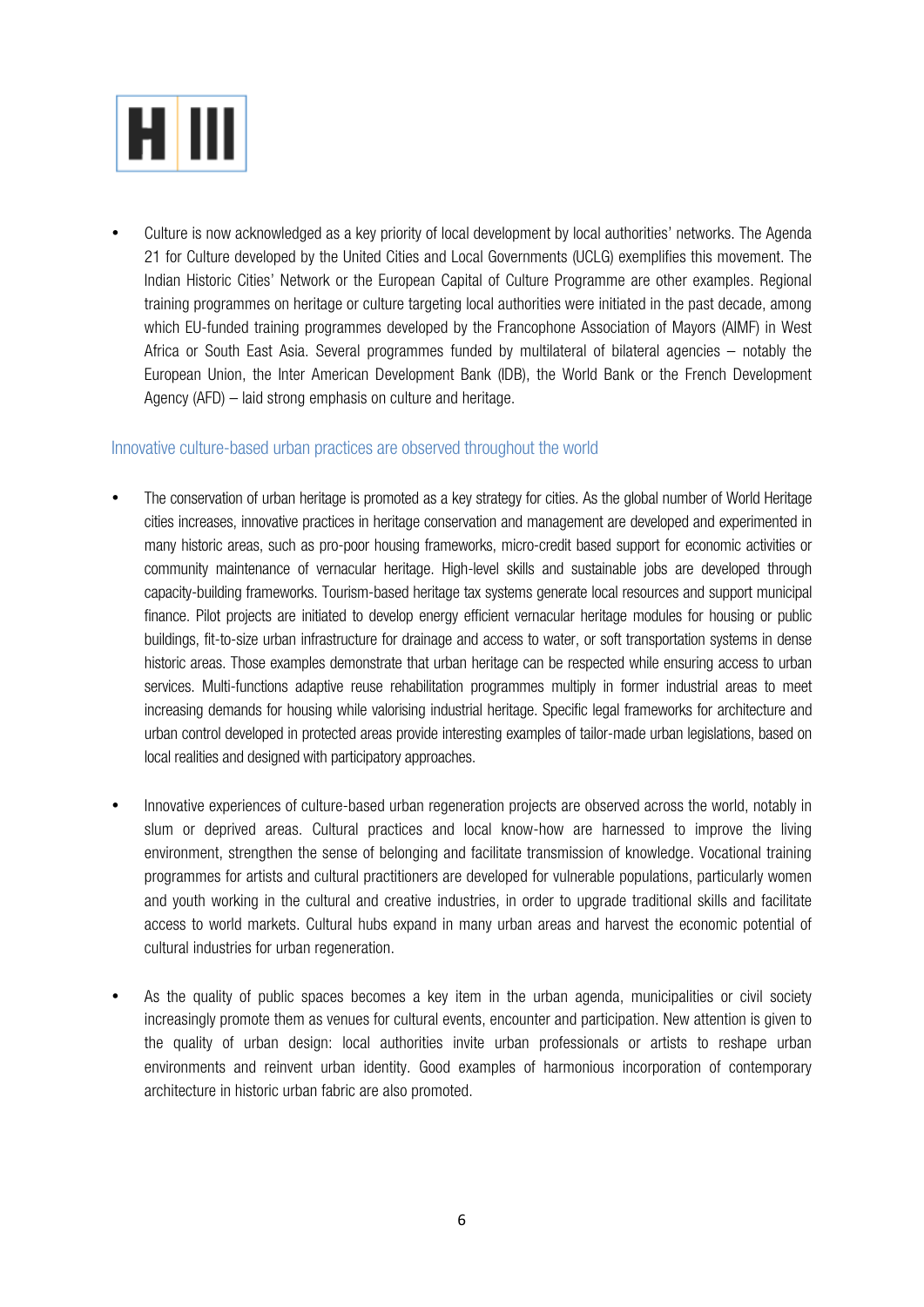

• Culture is now acknowledged as a key priority of local development by local authorities' networks. The Agenda 21 for Culture developed by the United Cities and Local Governments (UCLG) exemplifies this movement. The Indian Historic Cities' Network or the European Capital of Culture Programme are other examples. Regional training programmes on heritage or culture targeting local authorities were initiated in the past decade, among which EU-funded training programmes developed by the Francophone Association of Mayors (AIMF) in West Africa or South East Asia. Several programmes funded by multilateral of bilateral agencies – notably the European Union, the Inter American Development Bank (IDB), the World Bank or the French Development Agency (AFD) – laid strong emphasis on culture and heritage.

#### Innovative culture-based urban practices are observed throughout the world

- The conservation of urban heritage is promoted as a key strategy for cities. As the global number of World Heritage cities increases, innovative practices in heritage conservation and management are developed and experimented in many historic areas, such as pro-poor housing frameworks, micro-credit based support for economic activities or community maintenance of vernacular heritage. High-level skills and sustainable jobs are developed through capacity-building frameworks. Tourism-based heritage tax systems generate local resources and support municipal finance. Pilot projects are initiated to develop energy efficient vernacular heritage modules for housing or public buildings, fit-to-size urban infrastructure for drainage and access to water, or soft transportation systems in dense historic areas. Those examples demonstrate that urban heritage can be respected while ensuring access to urban services. Multi-functions adaptive reuse rehabilitation programmes multiply in former industrial areas to meet increasing demands for housing while valorising industrial heritage. Specific legal frameworks for architecture and urban control developed in protected areas provide interesting examples of tailor-made urban legislations, based on local realities and designed with participatory approaches.
- Innovative experiences of culture-based urban regeneration projects are observed across the world, notably in slum or deprived areas. Cultural practices and local know-how are harnessed to improve the living environment, strengthen the sense of belonging and facilitate transmission of knowledge. Vocational training programmes for artists and cultural practitioners are developed for vulnerable populations, particularly women and youth working in the cultural and creative industries, in order to upgrade traditional skills and facilitate access to world markets. Cultural hubs expand in many urban areas and harvest the economic potential of cultural industries for urban regeneration.
- As the quality of public spaces becomes a key item in the urban agenda, municipalities or civil society increasingly promote them as venues for cultural events, encounter and participation. New attention is given to the quality of urban design: local authorities invite urban professionals or artists to reshape urban environments and reinvent urban identity. Good examples of harmonious incorporation of contemporary architecture in historic urban fabric are also promoted.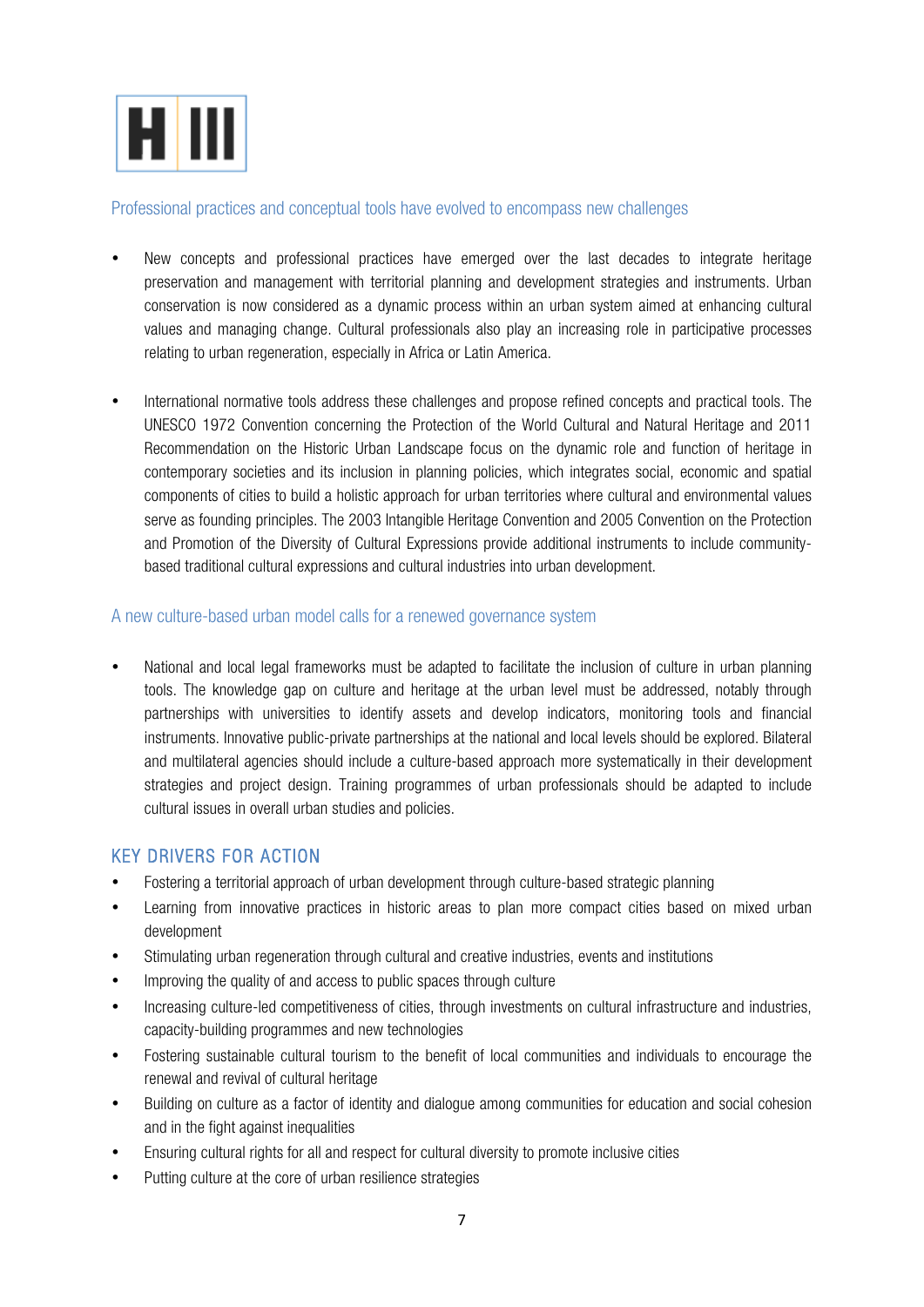

#### Professional practices and conceptual tools have evolved to encompass new challenges

- New concepts and professional practices have emerged over the last decades to integrate heritage preservation and management with territorial planning and development strategies and instruments. Urban conservation is now considered as a dynamic process within an urban system aimed at enhancing cultural values and managing change. Cultural professionals also play an increasing role in participative processes relating to urban regeneration, especially in Africa or Latin America.
- International normative tools address these challenges and propose refined concepts and practical tools. The UNESCO 1972 Convention concerning the Protection of the World Cultural and Natural Heritage and 2011 Recommendation on the Historic Urban Landscape focus on the dynamic role and function of heritage in contemporary societies and its inclusion in planning policies, which integrates social, economic and spatial components of cities to build a holistic approach for urban territories where cultural and environmental values serve as founding principles. The 2003 Intangible Heritage Convention and 2005 Convention on the Protection and Promotion of the Diversity of Cultural Expressions provide additional instruments to include communitybased traditional cultural expressions and cultural industries into urban development.

#### A new culture-based urban model calls for a renewed governance system

• National and local legal frameworks must be adapted to facilitate the inclusion of culture in urban planning tools. The knowledge gap on culture and heritage at the urban level must be addressed, notably through partnerships with universities to identify assets and develop indicators, monitoring tools and financial instruments. Innovative public-private partnerships at the national and local levels should be explored. Bilateral and multilateral agencies should include a culture-based approach more systematically in their development strategies and project design. Training programmes of urban professionals should be adapted to include cultural issues in overall urban studies and policies.

#### KEY DRIVERS FOR ACTION

- Fostering a territorial approach of urban development through culture-based strategic planning
- Learning from innovative practices in historic areas to plan more compact cities based on mixed urban development
- Stimulating urban regeneration through cultural and creative industries, events and institutions
- Improving the quality of and access to public spaces through culture
- Increasing culture-led competitiveness of cities, through investments on cultural infrastructure and industries, capacity-building programmes and new technologies
- Fostering sustainable cultural tourism to the benefit of local communities and individuals to encourage the renewal and revival of cultural heritage
- Building on culture as a factor of identity and dialogue among communities for education and social cohesion and in the fight against inequalities
- Ensuring cultural rights for all and respect for cultural diversity to promote inclusive cities
- Putting culture at the core of urban resilience strategies